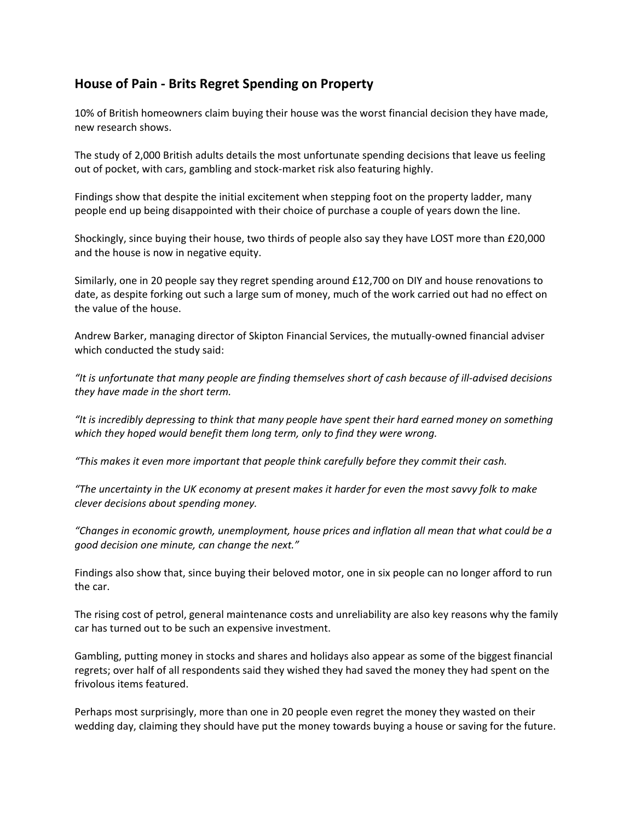## **House of Pain - Brits Regret Spending on Property**

10% of British homeowners claim buying their house was the worst financial decision they have made, new research shows.

The study of 2,000 British adults details the most unfortunate spending decisions that leave us feeling out of pocket, with cars, gambling and stock-market risk also featuring highly.

Findings show that despite the initial excitement when stepping foot on the property ladder, many people end up being disappointed with their choice of purchase a couple of years down the line.

Shockingly, since buying their house, two thirds of people also say they have LOST more than £20,000 and the house is now in negative equity.

Similarly, one in 20 people say they regret spending around £12,700 on DIY and house renovations to date, as despite forking out such a large sum of money, much of the work carried out had no effect on the value of the house.

Andrew Barker, managing director of Skipton Financial Services, the mutually-owned financial adviser which conducted the study said:

*"It is unfortunate that many people are finding themselves short of cash because of ill-advised decisions they have made in the short term.*

*"It is incredibly depressing to think that many people have spent their hard earned money on something which they hoped would benefit them long term, only to find they were wrong.*

*"This makes it even more important that people think carefully before they commit their cash.*

*"The uncertainty in the UK economy at present makes it harder for even the most savvy folk to make clever decisions about spending money.*

*"Changes in economic growth, unemployment, house prices and inflation all mean that what could be a good decision one minute, can change the next."*

Findings also show that, since buying their beloved motor, one in six people can no longer afford to run the car.

The rising cost of petrol, general maintenance costs and unreliability are also key reasons why the family car has turned out to be such an expensive investment.

Gambling, putting money in stocks and shares and holidays also appear as some of the biggest financial regrets; over half of all respondents said they wished they had saved the money they had spent on the frivolous items featured.

Perhaps most surprisingly, more than one in 20 people even regret the money they wasted on their wedding day, claiming they should have put the money towards buying a house or saving for the future.